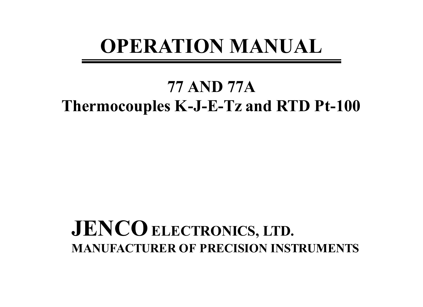# **OPERATION MANUAL**

# **77 AND 77A Thermocouples K-J-E-Tz and RTD Pt-100**

# **JENCO** ELECTRONICS, LTD. **MANUFACTURER OF PRECISION INSTRUMENTS**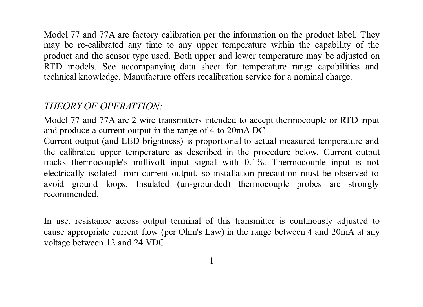Model 77 and 77A are factory calibration per the information on the product label. They may be re-calibrated any time to any upper temperature within the capability of the product and the sensor type used. Both upper and lower temperature may be adjusted on RTD models. See accompanying data sheet for temperature range capabilities and technical knowledge. Manufacture offers recalibration service for a nominal charge.

### *THEORY OF OPERATTION:*

Model 77 and 77A are 2 wire transmitters intended to accept thermocouple or RTD input and produce a current output in the range of 4 to 20mA DC

Current output (and LED brightness) is proportional to actual measured temperature and the calibrated upper temperature as described in the procedure below. Current output tracks thermocouple's millivolt input signal with 0.1%. Thermocouple input is not electrically isolated from current output, so installation precaution must be observed to avoid ground loops. Insulated (un-grounded) thermocouple probes are strongly recommended.

In use, resistance across output terminal of this transmitter is continously adjusted to cause appropriate current flow (per Ohm's Law) in the range between 4 and 20mA at any voltage between 12 and 24 VDC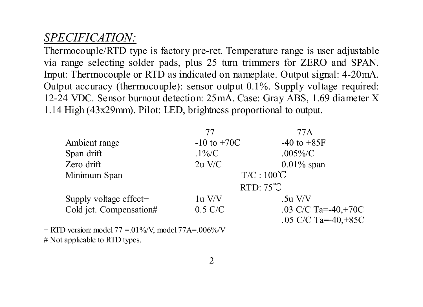## *SPECIFICATION:*

Thermocouple/RTD type is factory pre-ret. Temperature range is user adjustable via range selecting solder pads, plus 25 turn trimmers for ZERO and SPAN. Input: Thermocouple or RTD as indicated on nameplate. Output signal: 4-20mA. Output accuracy (thermocouple): sensor output 0.1%. Supply voltage required: 12-24 VDC. Sensor burnout detection: 25mA. Case: Gray ABS, 1.69 diameter X 1.14 High (43x29mm). Pilot: LED, brightness proportional to output.

|                                                                 | 77                 | 77 A                 |  |
|-----------------------------------------------------------------|--------------------|----------------------|--|
| Ambient range                                                   | $-10$ to $+70C$    | $-40$ to $+85F$      |  |
| Span drift                                                      | $.1\%$ /C          | $.005\%$ /C          |  |
| Zero drift                                                      | $2u$ V/C           | $0.01\%$ span        |  |
| Minimum Span                                                    | $T/C:100^{\circ}C$ |                      |  |
|                                                                 | $RTD:75^{\circ}C$  |                      |  |
| Supply voltage effect+                                          | $1u$ V/V           | $.5u$ V/V            |  |
| Cold jct. Compensation#                                         | $0.5$ C/C          | .03 C/C Ta=-40,+70C  |  |
|                                                                 |                    | .05 C/C Ta=-40, +85C |  |
| + RTD version: model $77 = 01\% / V$ , model $77A = 0.06\% / V$ |                    |                      |  |

# Not applicable to RTD types.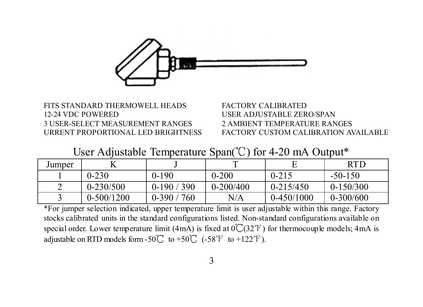

### FITS STANDARD THERMOWELL HEADS FACTORY CALIBRATED 12-24 VDC POWERED USER ADJUSTABLE ZERO/SPAN 3 USER-SELECT MEASUREMENT RANGES 2 AMBIENT TEMPERATURE RANGES

URRENT PROPORTIONAL LED BRIGHTNESS FACTORY CUSTOM CALIBRATION AVAILABLE

User Adjustable Temperature Span $^{\circ}$ C) for 4-20 mA Output\*

| Jumper |               |             |               |               | <b>RTD</b>  |
|--------|---------------|-------------|---------------|---------------|-------------|
|        | $0 - 230$     | $0-190$     | $0 - 200$     | $0 - 215$     | $-50-150$   |
|        | $0 - 230/500$ | $0-190/390$ | $0 - 200/400$ | $0 - 215/450$ | $0-150/300$ |
|        | $0-500/1200$  | $0-390/760$ | N/A           | $0-450/1000$  | $0-300/600$ |

\*For jumper selection indicated, upper temperature limit is user adjustable within this range. Factory stocks calibrated units in the standard configurations listed. Non-standard configurations available on special order. Lower temperature limit (4mA) is fixed at  $0\textdegree$  (32°F) for thermocouple models; 4mA is adjustable on RTD models form -50  $\degree$  to +50  $\degree$  (-58  $\degree$  to +122  $\degree$  F).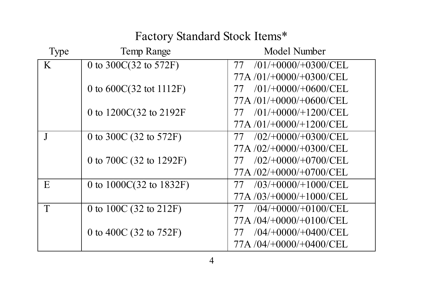Factory Standard Stock Items\*

| Type | Temp Range                         | Model Number                 |
|------|------------------------------------|------------------------------|
| K    | 0 to 300C(32 to 572F)              | 77 / 01/1000/10300/CEL       |
|      |                                    | 77A /01/+0000/+0300/CEL      |
|      | 0 to $600C(32 \text{ tot } 1112F)$ | $/01/+0000/+0600/CEL$<br>77  |
|      |                                    | $77A/01/+0000/+0600/CEL$     |
|      | 0 to 1200C(32 to 2192F             | $/01/+0000/+1200/CEL$<br>77  |
|      |                                    | 77A/01/+0000/+1200/CEL       |
|      | 0 to 300C (32 to 572F)             | 77 /02/+0000/+0300/CEL       |
|      |                                    | 77A /02/+0000/+0300/CEL      |
|      | 0 to 700C (32 to 1292F)            | $(02/+0000/+0700/CEL)$<br>77 |
|      |                                    | $77A/02/+0000/+0700/CEL$     |
| E    | 0 to 1000C(32 to 1832F)            | $(03/+0000/+1000/CEL)$       |
|      |                                    | 77A /03/+0000/+1000/CEL      |
| T    | 0 to 100C (32 to 212F)             | $(04/+0000/+0100/CEL)$       |
|      |                                    | 77A /04/+0000/+0100/CEL      |
|      | 0 to 400C (32 to 752F)             | $(04/+0000/+0400/CEL)$<br>77 |
|      |                                    | 77A /04/+0000/+0400/CEL      |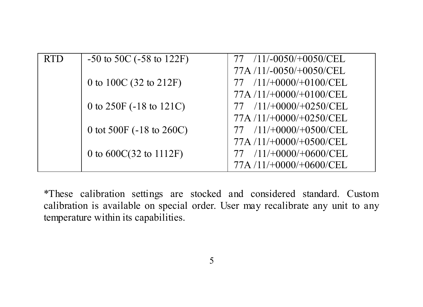| <b>RTD</b> | $-50$ to $50C$ ( $-58$ to $122F$ ) | $/11/-0050/+0050/CELL$      |
|------------|------------------------------------|-----------------------------|
|            |                                    | 77A/11/-0050/+0050/CEL      |
|            | 0 to 100C (32 to 212F)             | $/11/+0000/+0100/CEL$       |
|            |                                    | $77A/11/+0000/+0100/CEL$    |
|            | 0 to 250F (-18 to 121C)            | $/11/+0000/+0250/CEL$       |
|            |                                    | 77A/11/+0000/+0250/CEL      |
|            | 0 tot 500F (-18 to 260C)           | $77 / 11/ +0000/ +0500/CEL$ |
|            |                                    | $77A/11/+0000/+0500/CEL$    |
|            | 0 to 600C(32 to 1112F)             | $/11/+0000/+0600/CELL$      |
|            |                                    | 77A /11/+0000/+0600/CEL     |
|            |                                    |                             |

\*These calibration settings are stocked and considered standard. Custom calibration is available on special order. User may recalibrate any unit to any temperature within its capabilities.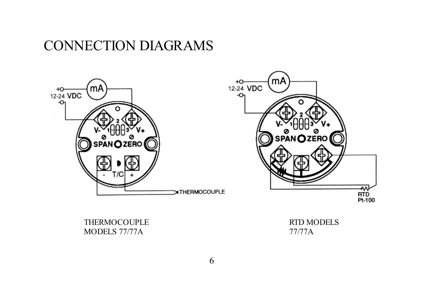## CONNECTION DIAGRAMS





THERMOCOUPLE MODELS 77/77A

RTD MODELS 77/77A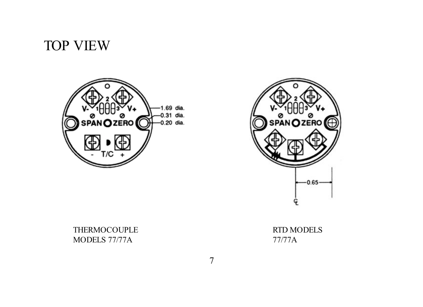# TOP VIEW





THERMOCOUPLE MODELS 77/77A

RTD MODELS 77/77A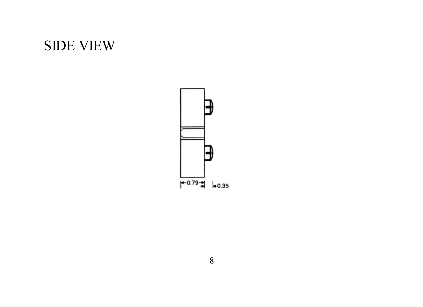# SIDE VIEW

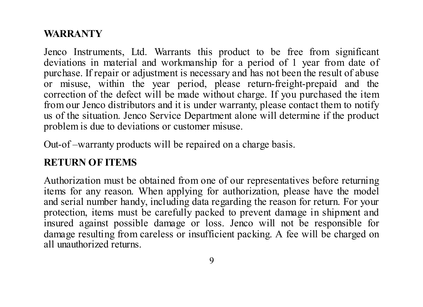### **WARRANTY**

Jenco Instruments, Ltd. Warrants this product to be free from significant deviations in material and workmanship for a period of 1 year from date of purchase. If repair or adjustment is necessary and has not been the result of abuse or misuse, within the year period, please return-freight-prepaid and the correction of the defect will be made without charge. If you purchased the item from our Jenco distributors and it is under warranty, please contact them to notify us of the situation. Jenco Service Department alone will determine if the product problem is due to deviations or customer misuse.

Out-of-warranty products will be repaired on a charge basis.

### **RETURN OF ITEMS**

 Authorization must be obtained from one of our representatives before returning items for any reason. When applying for authorization, please have the model and serial number handy, including data regarding the reason for return. For your protection, items must be carefully packed to prevent damage in shipment and insured against possible damage or loss. Jenco will not be responsible for damage resulting from careless or insufficient packing. A fee will be charged on all unauthorized returns.